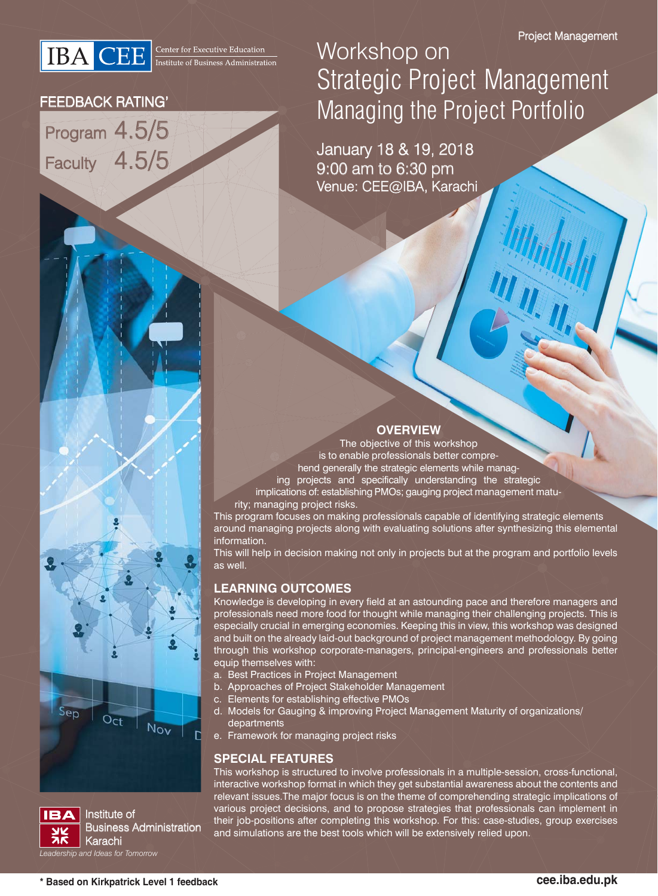**IBA** CEE **Executive Education** 

### FEEDBACK RATING'

Program 4.5/5 Faculty 4.5/5

## Workshop on Strategic Project Management Managing the Project Portfolio

January 18 & 19, 2018 9:00 am to 6:30 pm Venue: CEE@IBA, Karachi

### **OVERVIEW**

The objective of this workshop is to enable professionals better comprehend generally the strategic elements while managing projects and specifically understanding the strategic implications of: establishing PMOs; gauging project management maturity; managing project risks.

This program focuses on making professionals capable of identifying strategic elements around managing projects along with evaluating solutions after synthesizing this elemental information.

This will help in decision making not only in projects but at the program and portfolio levels as well.

### **LEARNING OUTCOMES**

Knowledge is developing in every field at an astounding pace and therefore managers and professionals need more food for thought while managing their challenging projects. This is especially crucial in emerging economies. Keeping this in view, this workshop was designed and built on the already laid-out background of project management methodology. By going through this workshop corporate-managers, principal-engineers and professionals better equip themselves with:

- a. Best Practices in Project Management
- b. Approaches of Project Stakeholder Management
- c. Elements for establishing effective PMOs
- d. Models for Gauging & improving Project Management Maturity of organizations/ departments
- e. Framework for managing project risks

### **SPECIAL FEATURES**

This workshop is structured to involve professionals in a multiple-session, cross-functional, interactive workshop format in which they get substantial awareness about the contents and relevant issues.The major focus is on the theme of comprehending strategic implications of various project decisions, and to propose strategies that professionals can implement in their job-positions after completing this workshop. For this: case-studies, group exercises and simulations are the best tools which will be extensively relied upon.



 $Oct$ 

Nov

 $Sep$